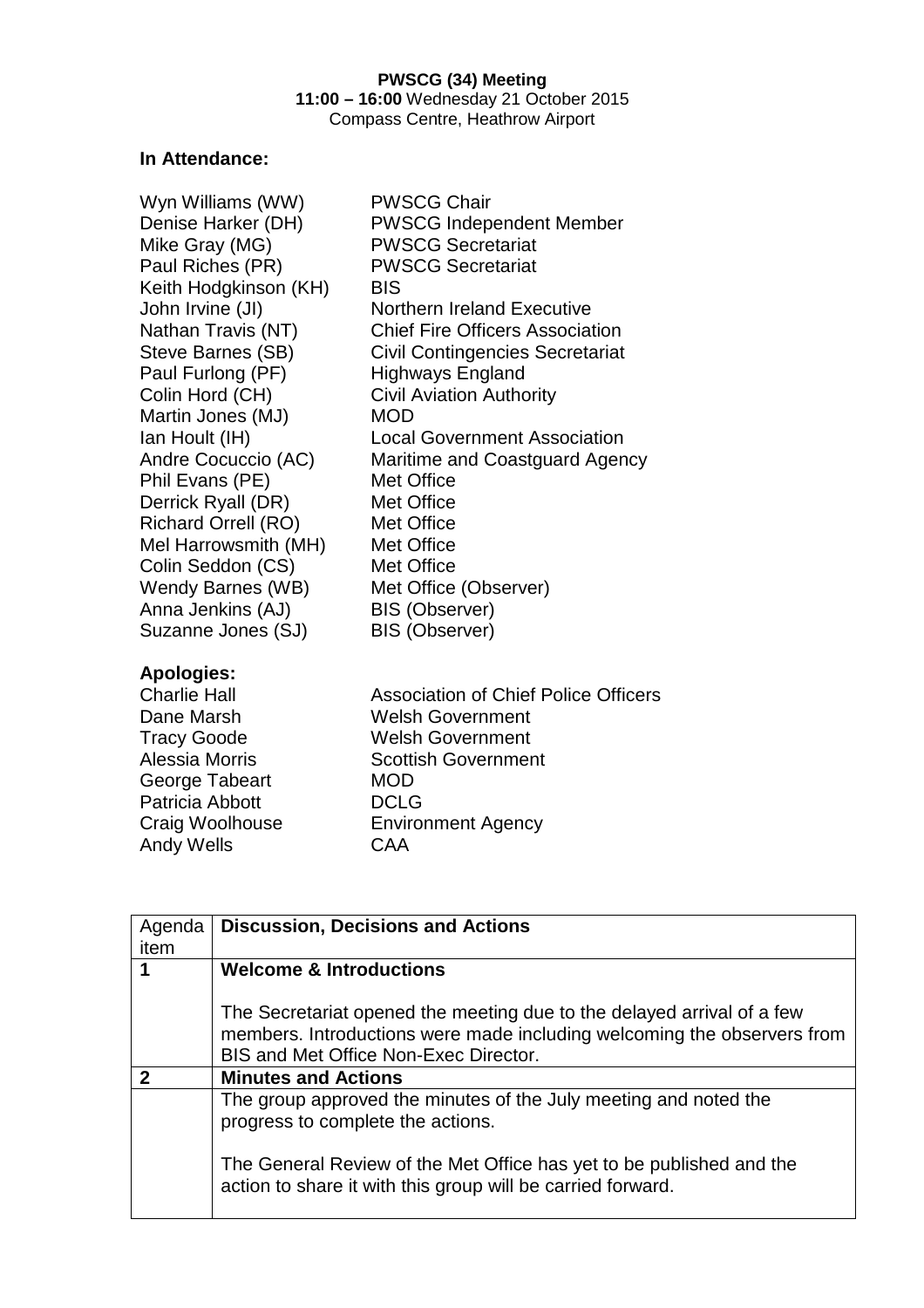## **In Attendance:**

Wyn Williams (WW) PWSCG Chair Denise Harker (DH) PWSCG Independent Member Mike Gray (MG) PWSCG Secretariat Paul Riches (PR) PWSCG Secretariat Keith Hodgkinson (KH) BIS John Irvine (JI) Northern Ireland Executive Nathan Travis (NT) Chief Fire Officers Association Steve Barnes (SB) Civil Contingencies Secretariat Paul Furlong (PF) Highways England Colin Hord (CH) Civil Aviation Authority Martin Jones (MJ) MOD Ian Hoult (IH) Local Government Association Andre Cocuccio (AC) Maritime and Coastguard Agency Phil Evans (PE) Met Office Derrick Ryall (DR) Met Office Richard Orrell (RO) Met Office Mel Harrowsmith (MH) Met Office Colin Seddon (CS) Met Office Wendy Barnes (WB) Met Office (Observer) Anna Jenkins (AJ) BIS (Observer) Suzanne Jones (SJ) BIS (Observer)

## **Apologies:**

George Tabeart MOD Patricia Abbott DCLG Andy Wells **CAA** 

Charlie Hall Association of Chief Police Officers Dane Marsh Welsh Government Tracy Goode Welsh Government Alessia Morris Scottish Government Craig Woolhouse Environment Agency

| Agenda | <b>Discussion, Decisions and Actions</b>                                                                                                                                                   |  |
|--------|--------------------------------------------------------------------------------------------------------------------------------------------------------------------------------------------|--|
| item   |                                                                                                                                                                                            |  |
|        | <b>Welcome &amp; Introductions</b>                                                                                                                                                         |  |
|        | The Secretariat opened the meeting due to the delayed arrival of a few<br>members. Introductions were made including welcoming the observers from<br>BIS and Met Office Non-Exec Director. |  |
|        | <b>Minutes and Actions</b>                                                                                                                                                                 |  |
|        | The group approved the minutes of the July meeting and noted the<br>progress to complete the actions.                                                                                      |  |
|        | The General Review of the Met Office has yet to be published and the<br>action to share it with this group will be carried forward.                                                        |  |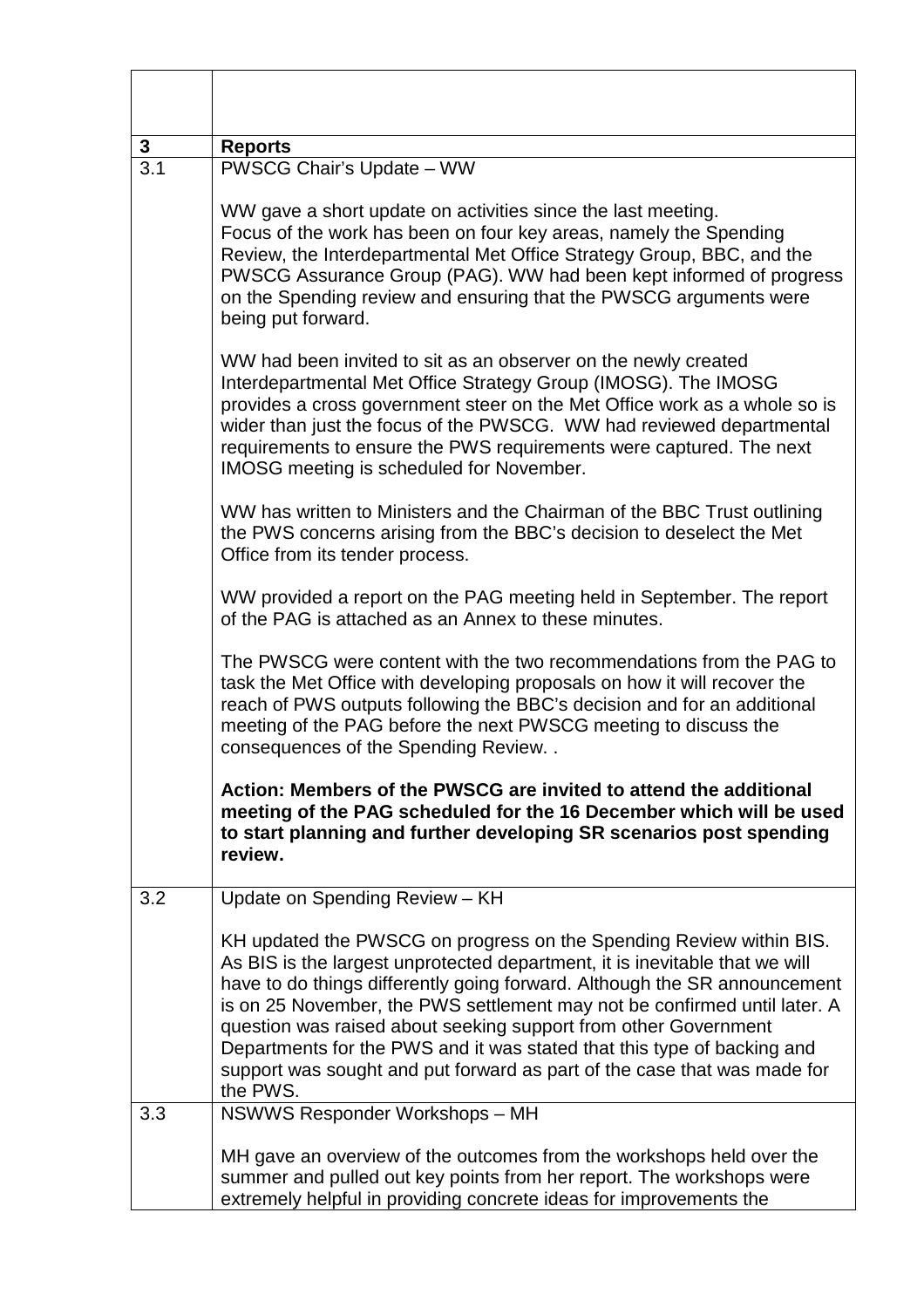| 3   | <b>Reports</b>                                                                                                                                                                                                                                                                                                                                                                                                                                                                                                                                     |  |
|-----|----------------------------------------------------------------------------------------------------------------------------------------------------------------------------------------------------------------------------------------------------------------------------------------------------------------------------------------------------------------------------------------------------------------------------------------------------------------------------------------------------------------------------------------------------|--|
| 3.1 | PWSCG Chair's Update - WW                                                                                                                                                                                                                                                                                                                                                                                                                                                                                                                          |  |
|     | WW gave a short update on activities since the last meeting.<br>Focus of the work has been on four key areas, namely the Spending<br>Review, the Interdepartmental Met Office Strategy Group, BBC, and the<br>PWSCG Assurance Group (PAG). WW had been kept informed of progress<br>on the Spending review and ensuring that the PWSCG arguments were<br>being put forward.                                                                                                                                                                        |  |
|     | WW had been invited to sit as an observer on the newly created<br>Interdepartmental Met Office Strategy Group (IMOSG). The IMOSG<br>provides a cross government steer on the Met Office work as a whole so is<br>wider than just the focus of the PWSCG. WW had reviewed departmental<br>requirements to ensure the PWS requirements were captured. The next<br><b>IMOSG</b> meeting is scheduled for November.                                                                                                                                    |  |
|     | WW has written to Ministers and the Chairman of the BBC Trust outlining<br>the PWS concerns arising from the BBC's decision to deselect the Met<br>Office from its tender process.                                                                                                                                                                                                                                                                                                                                                                 |  |
|     | WW provided a report on the PAG meeting held in September. The report<br>of the PAG is attached as an Annex to these minutes.                                                                                                                                                                                                                                                                                                                                                                                                                      |  |
|     | The PWSCG were content with the two recommendations from the PAG to<br>task the Met Office with developing proposals on how it will recover the<br>reach of PWS outputs following the BBC's decision and for an additional<br>meeting of the PAG before the next PWSCG meeting to discuss the<br>consequences of the Spending Review                                                                                                                                                                                                               |  |
|     | Action: Members of the PWSCG are invited to attend the additional<br>meeting of the PAG scheduled for the 16 December which will be used<br>to start planning and further developing SR scenarios post spending<br>review.                                                                                                                                                                                                                                                                                                                         |  |
| 3.2 | Update on Spending Review - KH                                                                                                                                                                                                                                                                                                                                                                                                                                                                                                                     |  |
|     | KH updated the PWSCG on progress on the Spending Review within BIS.<br>As BIS is the largest unprotected department, it is inevitable that we will<br>have to do things differently going forward. Although the SR announcement<br>is on 25 November, the PWS settlement may not be confirmed until later. A<br>question was raised about seeking support from other Government<br>Departments for the PWS and it was stated that this type of backing and<br>support was sought and put forward as part of the case that was made for<br>the PWS. |  |
| 3.3 | NSWWS Responder Workshops - MH                                                                                                                                                                                                                                                                                                                                                                                                                                                                                                                     |  |
|     | MH gave an overview of the outcomes from the workshops held over the<br>summer and pulled out key points from her report. The workshops were<br>extremely helpful in providing concrete ideas for improvements the                                                                                                                                                                                                                                                                                                                                 |  |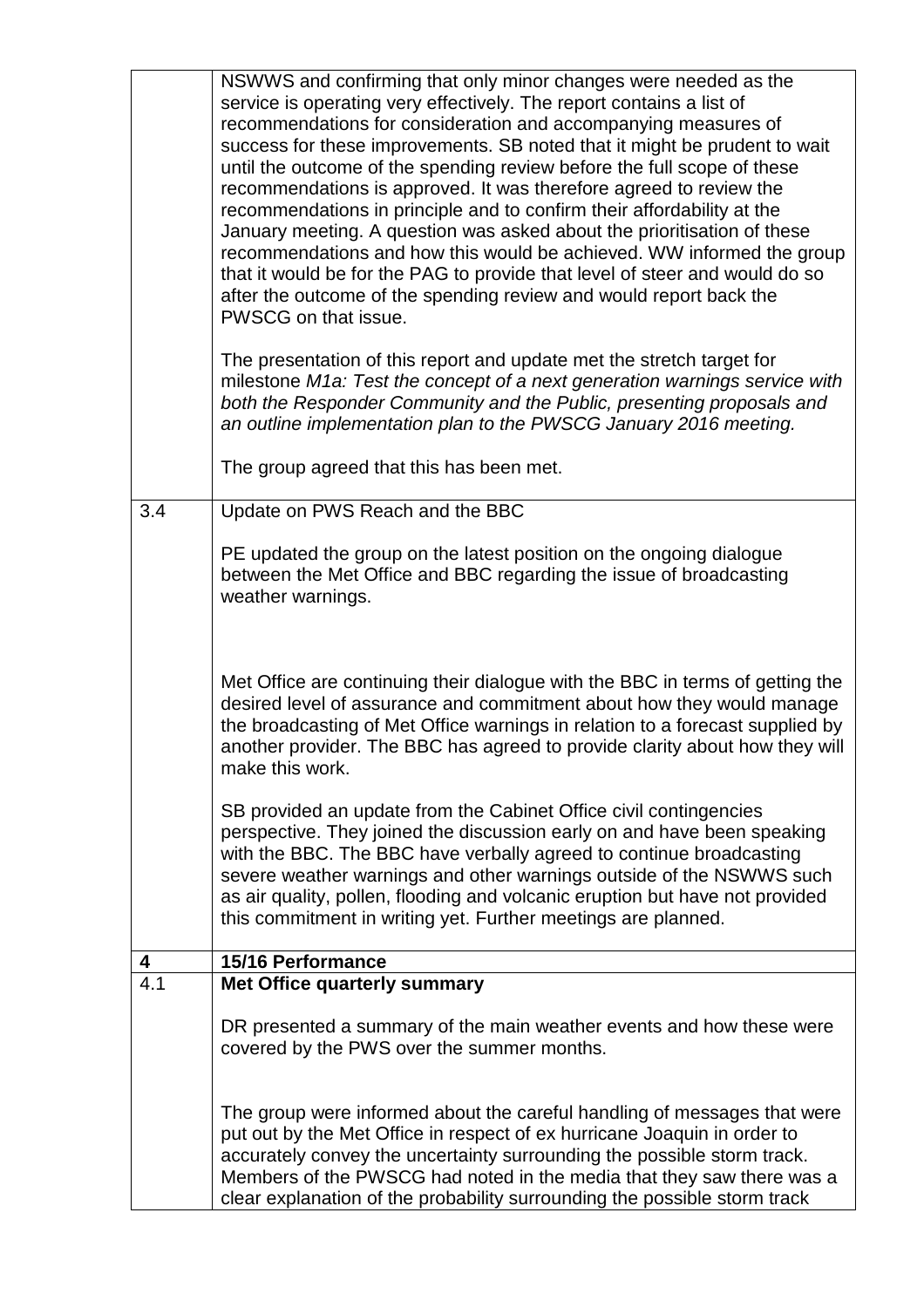|     | NSWWS and confirming that only minor changes were needed as the<br>service is operating very effectively. The report contains a list of<br>recommendations for consideration and accompanying measures of<br>success for these improvements. SB noted that it might be prudent to wait<br>until the outcome of the spending review before the full scope of these<br>recommendations is approved. It was therefore agreed to review the<br>recommendations in principle and to confirm their affordability at the<br>January meeting. A question was asked about the prioritisation of these<br>recommendations and how this would be achieved. WW informed the group<br>that it would be for the PAG to provide that level of steer and would do so<br>after the outcome of the spending review and would report back the<br>PWSCG on that issue. |
|-----|----------------------------------------------------------------------------------------------------------------------------------------------------------------------------------------------------------------------------------------------------------------------------------------------------------------------------------------------------------------------------------------------------------------------------------------------------------------------------------------------------------------------------------------------------------------------------------------------------------------------------------------------------------------------------------------------------------------------------------------------------------------------------------------------------------------------------------------------------|
|     | The presentation of this report and update met the stretch target for<br>milestone M1a: Test the concept of a next generation warnings service with<br>both the Responder Community and the Public, presenting proposals and<br>an outline implementation plan to the PWSCG January 2016 meeting.                                                                                                                                                                                                                                                                                                                                                                                                                                                                                                                                                  |
|     | The group agreed that this has been met.                                                                                                                                                                                                                                                                                                                                                                                                                                                                                                                                                                                                                                                                                                                                                                                                           |
| 3.4 | Update on PWS Reach and the BBC                                                                                                                                                                                                                                                                                                                                                                                                                                                                                                                                                                                                                                                                                                                                                                                                                    |
|     | PE updated the group on the latest position on the ongoing dialogue<br>between the Met Office and BBC regarding the issue of broadcasting<br>weather warnings.                                                                                                                                                                                                                                                                                                                                                                                                                                                                                                                                                                                                                                                                                     |
|     | Met Office are continuing their dialogue with the BBC in terms of getting the<br>desired level of assurance and commitment about how they would manage<br>the broadcasting of Met Office warnings in relation to a forecast supplied by<br>another provider. The BBC has agreed to provide clarity about how they will<br>make this work.                                                                                                                                                                                                                                                                                                                                                                                                                                                                                                          |
|     | SB provided an update from the Cabinet Office civil contingencies<br>perspective. They joined the discussion early on and have been speaking<br>with the BBC. The BBC have verbally agreed to continue broadcasting<br>severe weather warnings and other warnings outside of the NSWWS such<br>as air quality, pollen, flooding and volcanic eruption but have not provided<br>this commitment in writing yet. Further meetings are planned.                                                                                                                                                                                                                                                                                                                                                                                                       |
| 4   | 15/16 Performance                                                                                                                                                                                                                                                                                                                                                                                                                                                                                                                                                                                                                                                                                                                                                                                                                                  |
| 4.1 | Met Office quarterly summary                                                                                                                                                                                                                                                                                                                                                                                                                                                                                                                                                                                                                                                                                                                                                                                                                       |
|     | DR presented a summary of the main weather events and how these were<br>covered by the PWS over the summer months.                                                                                                                                                                                                                                                                                                                                                                                                                                                                                                                                                                                                                                                                                                                                 |
|     | The group were informed about the careful handling of messages that were<br>put out by the Met Office in respect of ex hurricane Joaquin in order to<br>accurately convey the uncertainty surrounding the possible storm track.<br>Members of the PWSCG had noted in the media that they saw there was a<br>clear explanation of the probability surrounding the possible storm track                                                                                                                                                                                                                                                                                                                                                                                                                                                              |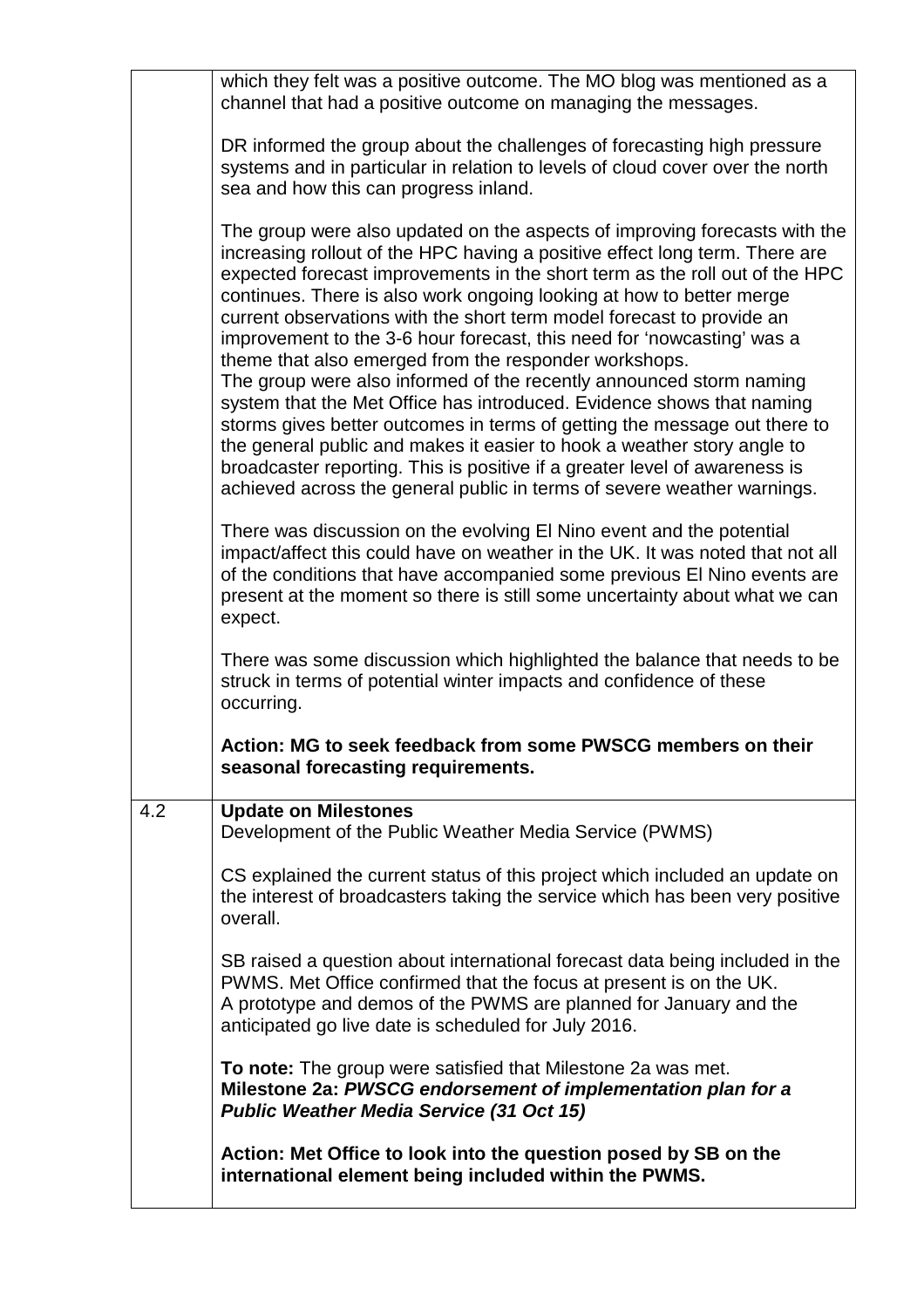|     | which they felt was a positive outcome. The MO blog was mentioned as a<br>channel that had a positive outcome on managing the messages.                                                                                                                                                                                                                                                                                                                                                                                                                                                                                                                                                                                                                                                                                                                                                                                                                                                                                                                               |
|-----|-----------------------------------------------------------------------------------------------------------------------------------------------------------------------------------------------------------------------------------------------------------------------------------------------------------------------------------------------------------------------------------------------------------------------------------------------------------------------------------------------------------------------------------------------------------------------------------------------------------------------------------------------------------------------------------------------------------------------------------------------------------------------------------------------------------------------------------------------------------------------------------------------------------------------------------------------------------------------------------------------------------------------------------------------------------------------|
|     | DR informed the group about the challenges of forecasting high pressure<br>systems and in particular in relation to levels of cloud cover over the north<br>sea and how this can progress inland.                                                                                                                                                                                                                                                                                                                                                                                                                                                                                                                                                                                                                                                                                                                                                                                                                                                                     |
|     | The group were also updated on the aspects of improving forecasts with the<br>increasing rollout of the HPC having a positive effect long term. There are<br>expected forecast improvements in the short term as the roll out of the HPC<br>continues. There is also work ongoing looking at how to better merge<br>current observations with the short term model forecast to provide an<br>improvement to the 3-6 hour forecast, this need for 'nowcasting' was a<br>theme that also emerged from the responder workshops.<br>The group were also informed of the recently announced storm naming<br>system that the Met Office has introduced. Evidence shows that naming<br>storms gives better outcomes in terms of getting the message out there to<br>the general public and makes it easier to hook a weather story angle to<br>broadcaster reporting. This is positive if a greater level of awareness is<br>achieved across the general public in terms of severe weather warnings.<br>There was discussion on the evolving El Nino event and the potential |
|     | impact/affect this could have on weather in the UK. It was noted that not all<br>of the conditions that have accompanied some previous El Nino events are<br>present at the moment so there is still some uncertainty about what we can<br>expect.                                                                                                                                                                                                                                                                                                                                                                                                                                                                                                                                                                                                                                                                                                                                                                                                                    |
|     | There was some discussion which highlighted the balance that needs to be<br>struck in terms of potential winter impacts and confidence of these<br>occurring.                                                                                                                                                                                                                                                                                                                                                                                                                                                                                                                                                                                                                                                                                                                                                                                                                                                                                                         |
|     | Action: MG to seek feedback from some PWSCG members on their<br>seasonal forecasting requirements.                                                                                                                                                                                                                                                                                                                                                                                                                                                                                                                                                                                                                                                                                                                                                                                                                                                                                                                                                                    |
| 4.2 | <b>Update on Milestones</b><br>Development of the Public Weather Media Service (PWMS)                                                                                                                                                                                                                                                                                                                                                                                                                                                                                                                                                                                                                                                                                                                                                                                                                                                                                                                                                                                 |
|     | CS explained the current status of this project which included an update on<br>the interest of broadcasters taking the service which has been very positive<br>overall.                                                                                                                                                                                                                                                                                                                                                                                                                                                                                                                                                                                                                                                                                                                                                                                                                                                                                               |
|     | SB raised a question about international forecast data being included in the<br>PWMS. Met Office confirmed that the focus at present is on the UK.<br>A prototype and demos of the PWMS are planned for January and the<br>anticipated go live date is scheduled for July 2016.                                                                                                                                                                                                                                                                                                                                                                                                                                                                                                                                                                                                                                                                                                                                                                                       |
|     | To note: The group were satisfied that Milestone 2a was met.<br>Milestone 2a: PWSCG endorsement of implementation plan for a<br><b>Public Weather Media Service (31 Oct 15)</b>                                                                                                                                                                                                                                                                                                                                                                                                                                                                                                                                                                                                                                                                                                                                                                                                                                                                                       |
|     | Action: Met Office to look into the question posed by SB on the<br>international element being included within the PWMS.                                                                                                                                                                                                                                                                                                                                                                                                                                                                                                                                                                                                                                                                                                                                                                                                                                                                                                                                              |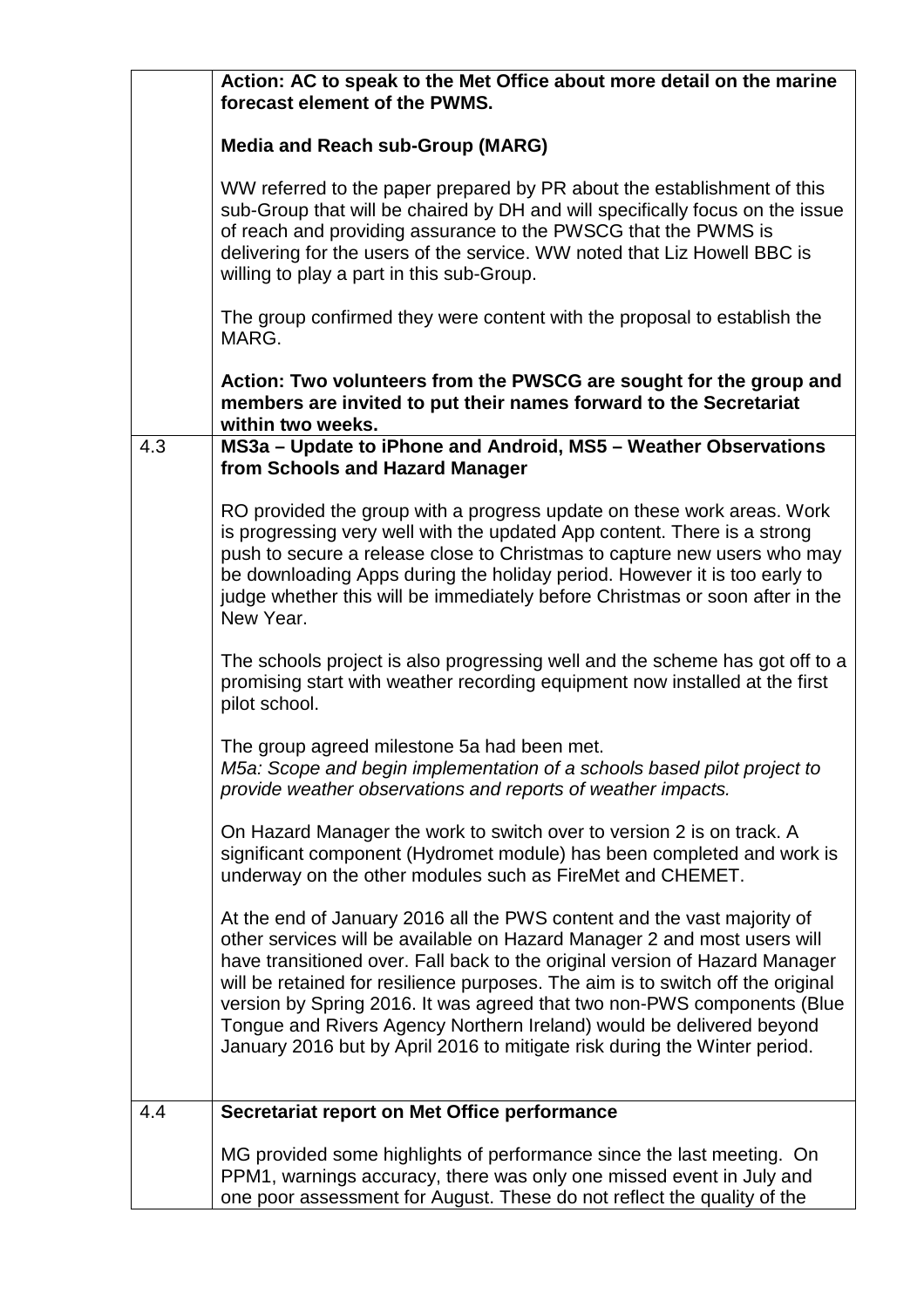|     | Action: AC to speak to the Met Office about more detail on the marine<br>forecast element of the PWMS.                                                                                                                                                                                                                                                                                                                                                                                                                                                |  |  |
|-----|-------------------------------------------------------------------------------------------------------------------------------------------------------------------------------------------------------------------------------------------------------------------------------------------------------------------------------------------------------------------------------------------------------------------------------------------------------------------------------------------------------------------------------------------------------|--|--|
|     | <b>Media and Reach sub-Group (MARG)</b>                                                                                                                                                                                                                                                                                                                                                                                                                                                                                                               |  |  |
|     | WW referred to the paper prepared by PR about the establishment of this<br>sub-Group that will be chaired by DH and will specifically focus on the issue<br>of reach and providing assurance to the PWSCG that the PWMS is<br>delivering for the users of the service. WW noted that Liz Howell BBC is<br>willing to play a part in this sub-Group.                                                                                                                                                                                                   |  |  |
|     | The group confirmed they were content with the proposal to establish the<br>MARG.                                                                                                                                                                                                                                                                                                                                                                                                                                                                     |  |  |
|     | Action: Two volunteers from the PWSCG are sought for the group and<br>members are invited to put their names forward to the Secretariat<br>within two weeks.                                                                                                                                                                                                                                                                                                                                                                                          |  |  |
| 4.3 | MS3a - Update to iPhone and Android, MS5 - Weather Observations<br>from Schools and Hazard Manager                                                                                                                                                                                                                                                                                                                                                                                                                                                    |  |  |
|     | RO provided the group with a progress update on these work areas. Work<br>is progressing very well with the updated App content. There is a strong<br>push to secure a release close to Christmas to capture new users who may<br>be downloading Apps during the holiday period. However it is too early to<br>judge whether this will be immediately before Christmas or soon after in the<br>New Year.                                                                                                                                              |  |  |
|     | The schools project is also progressing well and the scheme has got off to a<br>promising start with weather recording equipment now installed at the first<br>pilot school.                                                                                                                                                                                                                                                                                                                                                                          |  |  |
|     | The group agreed milestone 5a had been met.<br>M5a: Scope and begin implementation of a schools based pilot project to<br>provide weather observations and reports of weather impacts.                                                                                                                                                                                                                                                                                                                                                                |  |  |
|     | On Hazard Manager the work to switch over to version 2 is on track. A<br>significant component (Hydromet module) has been completed and work is<br>underway on the other modules such as FireMet and CHEMET.                                                                                                                                                                                                                                                                                                                                          |  |  |
|     | At the end of January 2016 all the PWS content and the vast majority of<br>other services will be available on Hazard Manager 2 and most users will<br>have transitioned over. Fall back to the original version of Hazard Manager<br>will be retained for resilience purposes. The aim is to switch off the original<br>version by Spring 2016. It was agreed that two non-PWS components (Blue<br>Tongue and Rivers Agency Northern Ireland) would be delivered beyond<br>January 2016 but by April 2016 to mitigate risk during the Winter period. |  |  |
| 4.4 | Secretariat report on Met Office performance                                                                                                                                                                                                                                                                                                                                                                                                                                                                                                          |  |  |
|     | MG provided some highlights of performance since the last meeting. On<br>PPM1, warnings accuracy, there was only one missed event in July and<br>one poor assessment for August. These do not reflect the quality of the                                                                                                                                                                                                                                                                                                                              |  |  |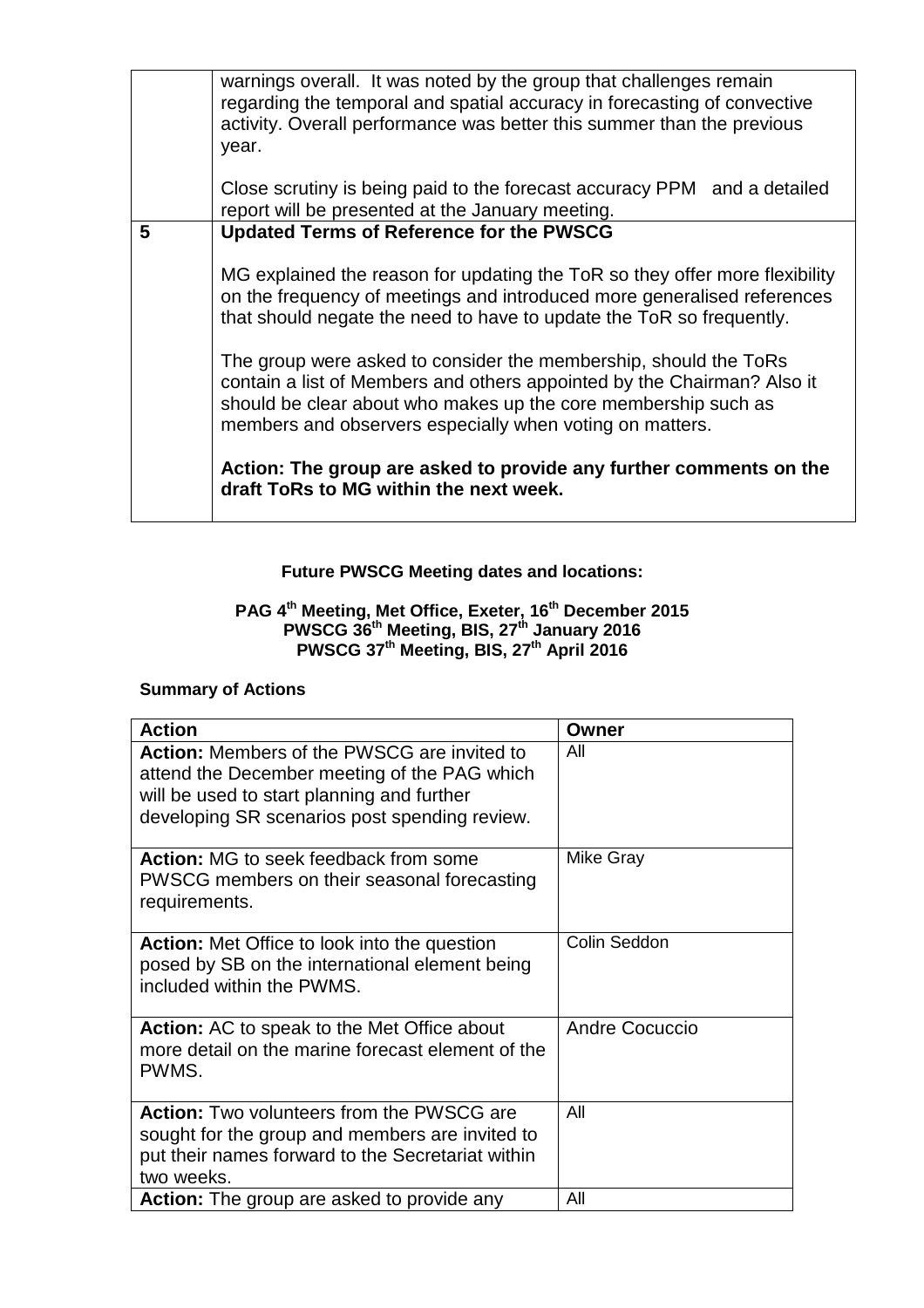|   | warnings overall. It was noted by the group that challenges remain<br>regarding the temporal and spatial accuracy in forecasting of convective<br>activity. Overall performance was better this summer than the previous<br>year.                                         |  |
|---|---------------------------------------------------------------------------------------------------------------------------------------------------------------------------------------------------------------------------------------------------------------------------|--|
|   | Close scrutiny is being paid to the forecast accuracy PPM and a detailed<br>report will be presented at the January meeting.                                                                                                                                              |  |
| 5 | <b>Updated Terms of Reference for the PWSCG</b>                                                                                                                                                                                                                           |  |
|   | MG explained the reason for updating the ToR so they offer more flexibility<br>on the frequency of meetings and introduced more generalised references<br>that should negate the need to have to update the ToR so frequently.                                            |  |
|   | The group were asked to consider the membership, should the ToRs<br>contain a list of Members and others appointed by the Chairman? Also it<br>should be clear about who makes up the core membership such as<br>members and observers especially when voting on matters. |  |
|   | Action: The group are asked to provide any further comments on the<br>draft ToRs to MG within the next week.                                                                                                                                                              |  |

# **Future PWSCG Meeting dates and locations:**

#### **PAG 4th Meeting, Met Office, Exeter, 16th December 2015 PWSCG 36th Meeting, BIS, 27th January 2016 PWSCG 37th Meeting, BIS, 27th April 2016**

## **Summary of Actions**

| <b>Action</b>                                                                                                                                                                                     | Owner            |
|---------------------------------------------------------------------------------------------------------------------------------------------------------------------------------------------------|------------------|
| <b>Action:</b> Members of the PWSCG are invited to<br>attend the December meeting of the PAG which<br>will be used to start planning and further<br>developing SR scenarios post spending review. | All              |
| Action: MG to seek feedback from some<br>PWSCG members on their seasonal forecasting<br>requirements.                                                                                             | <b>Mike Gray</b> |
| <b>Action:</b> Met Office to look into the question<br>posed by SB on the international element being<br>included within the PWMS.                                                                | Colin Seddon     |
| <b>Action:</b> AC to speak to the Met Office about<br>more detail on the marine forecast element of the<br>PWMS.                                                                                  | Andre Cocuccio   |
| <b>Action:</b> Two volunteers from the PWSCG are<br>sought for the group and members are invited to<br>put their names forward to the Secretariat within<br>two weeks.                            | All              |
| <b>Action:</b> The group are asked to provide any                                                                                                                                                 | All              |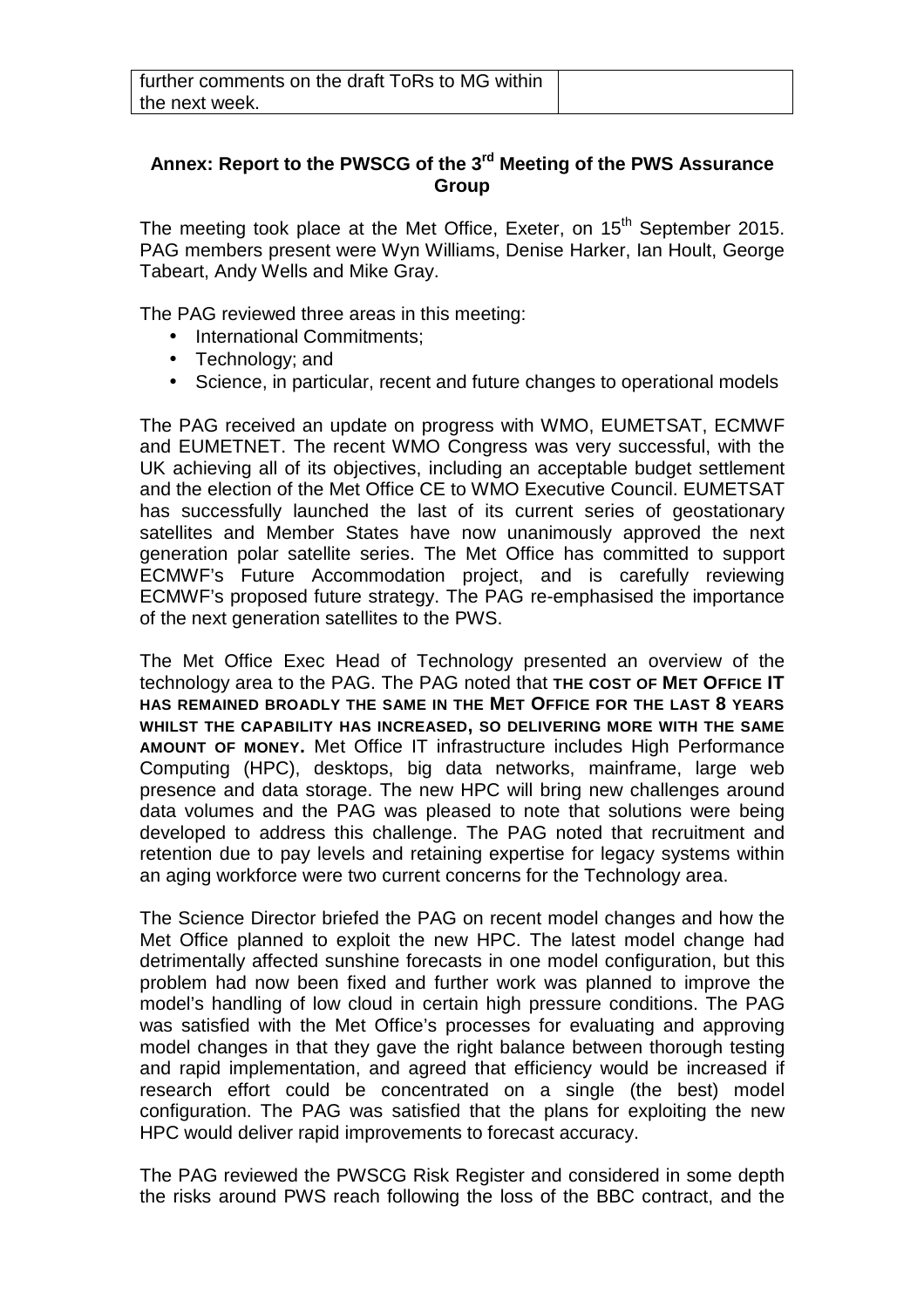## **Annex: Report to the PWSCG of the 3rd Meeting of the PWS Assurance Group**

The meeting took place at the Met Office, Exeter, on 15<sup>th</sup> September 2015. PAG members present were Wyn Williams, Denise Harker, Ian Hoult, George Tabeart, Andy Wells and Mike Gray.

The PAG reviewed three areas in this meeting:

- International Commitments;
- Technology; and
- Science, in particular, recent and future changes to operational models

The PAG received an update on progress with WMO, EUMETSAT, ECMWF and EUMETNET. The recent WMO Congress was very successful, with the UK achieving all of its objectives, including an acceptable budget settlement and the election of the Met Office CE to WMO Executive Council. EUMETSAT has successfully launched the last of its current series of geostationary satellites and Member States have now unanimously approved the next generation polar satellite series. The Met Office has committed to support ECMWF's Future Accommodation project, and is carefully reviewing ECMWF's proposed future strategy. The PAG re-emphasised the importance of the next generation satellites to the PWS.

The Met Office Exec Head of Technology presented an overview of the technology area to the PAG. The PAG noted that **THE COST OF MET OFFICE IT HAS REMAINED BROADLY THE SAME IN THE MET OFFICE FOR THE LAST 8 YEARS WHILST THE CAPABILITY HAS INCREASED, SO DELIVERING MORE WITH THE SAME AMOUNT OF MONEY.** Met Office IT infrastructure includes High Performance Computing (HPC), desktops, big data networks, mainframe, large web presence and data storage. The new HPC will bring new challenges around data volumes and the PAG was pleased to note that solutions were being developed to address this challenge. The PAG noted that recruitment and retention due to pay levels and retaining expertise for legacy systems within an aging workforce were two current concerns for the Technology area.

The Science Director briefed the PAG on recent model changes and how the Met Office planned to exploit the new HPC. The latest model change had detrimentally affected sunshine forecasts in one model configuration, but this problem had now been fixed and further work was planned to improve the model's handling of low cloud in certain high pressure conditions. The PAG was satisfied with the Met Office's processes for evaluating and approving model changes in that they gave the right balance between thorough testing and rapid implementation, and agreed that efficiency would be increased if research effort could be concentrated on a single (the best) model configuration. The PAG was satisfied that the plans for exploiting the new HPC would deliver rapid improvements to forecast accuracy.

The PAG reviewed the PWSCG Risk Register and considered in some depth the risks around PWS reach following the loss of the BBC contract, and the